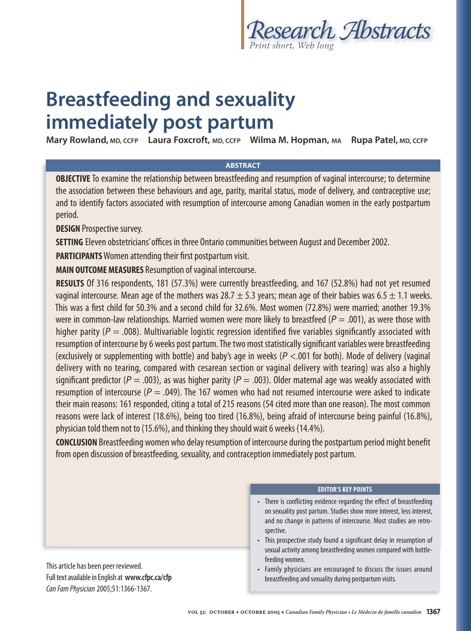

# **Breastfeeding and sexuality immediately post partum**

**Mary Rowland, MD, CCFP Laura Foxcroft, MD, CCFP Wilma M. Hopman, MA Rupa Patel, MD, CCFP**

## **ABSTRACT**

**OBJECTIVE** To examine the relationship between breastfeeding and resumption of vaginal intercourse; to determine the association between these behaviours and age, parity, marital status, mode of delivery, and contraceptive use; and to identify factors associated with resumption of intercourse among Canadian women in the early postpartum period.

**DESIGN** Prospective survey.

**SETTING** Eleven obstetricians' offices in three Ontario communities between August and December 2002.

**PARTICIPANTS** Women attending their first postpartum visit.

**MAIN OUTCOME MEASURES** Resumption of vaginal intercourse.

**RESULTS** Of 316 respondents, 181 (57.3%) were currently breastfeeding, and 167 (52.8%) had not yet resumed vaginal intercourse. Mean age of the mothers was 28.7  $\pm$  5.3 years; mean age of their babies was 6.5  $\pm$  1.1 weeks. This was a first child for 50.3% and a second child for 32.6%. Most women (72.8%) were married; another 19.3% were in common-law relationships. Married women were more likely to breastfeed ( $P = .001$ ), as were those with higher parity ( $P = 0.008$ ). Multivariable logistic regression identified five variables significantly associated with resumption of intercourse by 6 weeks post partum. The two most statistically significant variables were breastfeeding (exclusively or supplementing with bottle) and baby's age in weeks ( $P < .001$  for both). Mode of delivery (vaginal delivery with no tearing, compared with cesarean section or vaginal delivery with tearing) was also a highly significant predictor ( $P = .003$ ), as was higher parity ( $P = .003$ ). Older maternal age was weakly associated with resumption of intercourse ( $P = .049$ ). The 167 women who had not resumed intercourse were asked to indicate their main reasons: 161 responded, citing a total of 215 reasons (54 cited more than one reason). The most common reasons were lack of interest (18.6%), being too tired (16.8%), being afraid of intercourse being painful (16.8%), physician told them not to (15.6%), and thinking they should wait 6 weeks (14.4%).

**CONCLUSION** Breastfeeding women who delay resumption of intercourse during the postpartum period might benefit from open discussion of breastfeeding, sexuality, and contraception immediately post partum.

This article has been peer reviewed. Full text available in English at **www.cfpc.ca/cfp** Can Fam Physician 2005;51:1366-1367.

### **EDITOR'S KEY POINTS**

- There is conflicting evidence regarding the effect of breastfeeding on sexuality post partum. Studies show more interest, less interest, and no change in patterns of intercourse. Most studies are retrospective.
- This prospective study found a significant delay in resumption of sexual activity among breastfeeding women compared with bottlefeeding women.
- Family physicians are encouraged to discuss the issues around breastfeeding and sexuality during postpartum visits.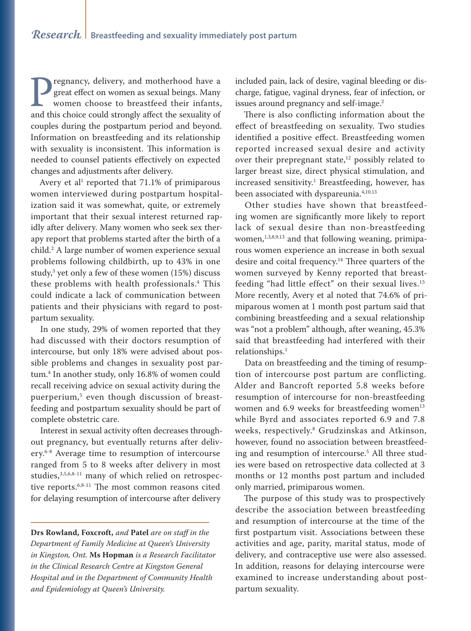**Pregnancy, delivery, and motherhood have a** great effect on women as sexual beings. Many women choose to breastfeed their infants, and this choice could strongly affect the sexuality of great effect on women as sexual beings. Many women choose to breastfeed their infants, couples during the postpartum period and beyond. Information on breastfeeding and its relationship with sexuality is inconsistent. This information is needed to counsel patients effectively on expected changes and adjustments after delivery.

Avery et al<sup>1</sup> reported that  $71.1\%$  of primiparous women interviewed during postpartum hospitalization said it was somewhat, quite, or extremely important that their sexual interest returned rapidly after delivery. Many women who seek sex therapy report that problems started after the birth of a child.2 A large number of women experience sexual problems following childbirth, up to 43% in one study,3 yet only a few of these women (15%) discuss these problems with health professionals.4 This could indicate a lack of communication between patients and their physicians with regard to postpartum sexuality.

In one study, 29% of women reported that they had discussed with their doctors resumption of intercourse, but only 18% were advised about possible problems and changes in sexuality post partum.4 In another study, only 16.8% of women could recall receiving advice on sexual activity during the puerperium,5 even though discussion of breastfeeding and postpartum sexuality should be part of complete obstetric care.

Interest in sexual activity often decreases throughout pregnancy, but eventually returns after delivery.<sup>6-8</sup> Average time to resumption of intercourse ranged from 5 to 8 weeks after delivery in most studies,<sup>3,5,6,8-11</sup> many of which relied on retrospective reports.6,8-11 The most common reasons cited for delaying resumption of intercourse after delivery

**Drs Rowland, Foxcroft,** *and* **Patel** *are on staff in the Department of Family Medicine at Queen's University in Kingston, Ont.* **Ms Hopman** *is a Research Facilitator in the Clinical Research Centre at Kingston General Hospital and in the Department of Community Health and Epidemiology at Queen's University.*

included pain, lack of desire, vaginal bleeding or discharge, fatigue, vaginal dryness, fear of infection, or issues around pregnancy and self-image.<sup>2</sup>

There is also conflicting information about the effect of breastfeeding on sexuality. Two studies identified a positive effect. Breastfeeding women reported increased sexual desire and activity over their prepregnant state, $12$  possibly related to larger breast size, direct physical stimulation, and increased sensitivity.1 Breastfeeding, however, has been associated with dyspareunia.<sup>4,10,13</sup>

Other studies have shown that breastfeeding women are significantly more likely to report lack of sexual desire than non-breastfeeding women, $1,3,8,9,13$  and that following weaning, primiparous women experience an increase in both sexual desire and coital frequency.<sup>14</sup> Three quarters of the women surveyed by Kenny reported that breastfeeding "had little effect" on their sexual lives.15 More recently, Avery et al noted that 74.6% of primiparous women at 1 month post partum said that combining breastfeeding and a sexual relationship was "not a problem" although, after weaning, 45.3% said that breastfeeding had interfered with their relationships.<sup>1</sup>

Data on breastfeeding and the timing of resumption of intercourse post partum are conflicting. Alder and Bancroft reported 5.8 weeks before resumption of intercourse for non-breastfeeding women and  $6.9$  weeks for breastfeeding women $13$ while Byrd and associates reported 6.9 and 7.8 weeks, respectively.8 Grudzinskas and Atkinson, however, found no association between breastfeeding and resumption of intercourse.5 All three studies were based on retrospective data collected at 3 months or 12 months post partum and included only married, primiparous women.

The purpose of this study was to prospectively describe the association between breastfeeding and resumption of intercourse at the time of the first postpartum visit. Associations between these activities and age, parity, marital status, mode of delivery, and contraceptive use were also assessed. In addition, reasons for delaying intercourse were examined to increase understanding about postpartum sexuality.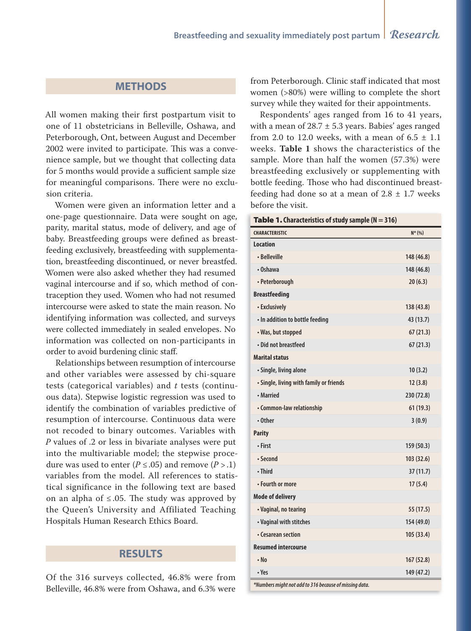# **METHODS**

All women making their first postpartum visit to one of 11 obstetricians in Belleville, Oshawa, and Peterborough, Ont, between August and December 2002 were invited to participate. This was a convenience sample, but we thought that collecting data for 5 months would provide a sufficient sample size for meaningful comparisons. There were no exclusion criteria.

Women were given an information letter and a one-page questionnaire. Data were sought on age, parity, marital status, mode of delivery, and age of baby. Breastfeeding groups were defined as breastfeeding exclusively, breastfeeding with supplementation, breastfeeding discontinued, or never breastfed. Women were also asked whether they had resumed vaginal intercourse and if so, which method of contraception they used. Women who had not resumed intercourse were asked to state the main reason. No identifying information was collected, and surveys were collected immediately in sealed envelopes. No information was collected on non-participants in order to avoid burdening clinic staff.

Relationships between resumption of intercourse and other variables were assessed by chi-square tests (categorical variables) and *t* tests (continuous data). Stepwise logistic regression was used to identify the combination of variables predictive of resumption of intercourse. Continuous data were not recoded to binary outcomes. Variables with *P* values of .2 or less in bivariate analyses were put into the multivariable model; the stepwise procedure was used to enter ( $P \le 0.05$ ) and remove ( $P > 0.1$ ) variables from the model. All references to statistical significance in the following text are based on an alpha of  $\leq$ .05. The study was approved by the Queen's University and Affiliated Teaching Hospitals Human Research Ethics Board.

## **RESULTS**

Of the 316 surveys collected, 46.8% were from Belleville, 46.8% were from Oshawa, and 6.3% were

from Peterborough. Clinic staff indicated that most women (>80%) were willing to complete the short survey while they waited for their appointments.

Respondents' ages ranged from 16 to 41 years, with a mean of  $28.7 \pm 5.3$  years. Babies' ages ranged from 2.0 to 12.0 weeks, with a mean of  $6.5 \pm 1.1$ weeks. **Table 1** shows the characteristics of the sample. More than half the women (57.3%) were breastfeeding exclusively or supplementing with bottle feeding. Those who had discontinued breastfeeding had done so at a mean of  $2.8 \pm 1.7$  weeks before the visit.

|  | <b>Table 1.</b> Characteristics of study sample $(N = 316)$ |  |
|--|-------------------------------------------------------------|--|
|--|-------------------------------------------------------------|--|

| $$ p $-$ ( $\cdot$<br><b>CHARACTERISTIC</b> | $N^*(% )$  |  |  |
|---------------------------------------------|------------|--|--|
| <b>Location</b>                             |            |  |  |
| • Belleville                                | 148 (46.8) |  |  |
| $\cdot$ Oshawa                              | 148 (46.8) |  |  |
| • Peterborough                              | 20(6.3)    |  |  |
| <b>Breastfeeding</b>                        |            |  |  |
| • Exclusively                               | 138 (43.8) |  |  |
| · In addition to bottle feeding             | 43 (13.7)  |  |  |
| • Was, but stopped                          | 67(21.3)   |  |  |
| • Did not breastfeed                        | 67(21.3)   |  |  |
| <b>Marital status</b>                       |            |  |  |
| · Single, living alone                      | 10(3.2)    |  |  |
| • Single, living with family or friends     | 12(3.8)    |  |  |
| • Married                                   | 230 (72.8) |  |  |
| • Common-law relationship                   | 61 (19.3)  |  |  |
| • Other                                     | 3(0.9)     |  |  |
| <b>Parity</b>                               |            |  |  |
| • First                                     | 159 (50.3) |  |  |
| • Second                                    | 103 (32.6) |  |  |
| • Third                                     | 37 (11.7)  |  |  |
| • Fourth or more                            | 17(5.4)    |  |  |
| <b>Mode of delivery</b>                     |            |  |  |
| • Vaginal, no tearing                       | 55 (17.5)  |  |  |
| • Vaginal with stitches                     | 154 (49.0) |  |  |
| • Cesarean section                          | 105 (33.4) |  |  |
| <b>Resumed intercourse</b>                  |            |  |  |
| $\cdot$ No                                  | 167 (52.8) |  |  |
| • Yes                                       | 149 (47.2) |  |  |
| $1 - 111 - 3111$                            |            |  |  |

**\*Numbers might not add to 316 because of missing data.**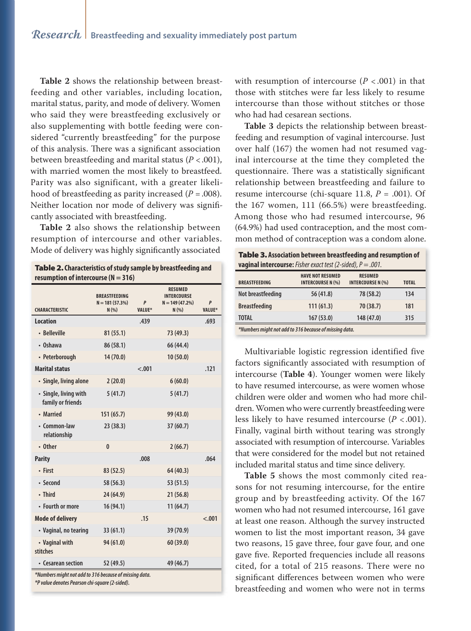**Table 2** shows the relationship between breastfeeding and other variables, including location, marital status, parity, and mode of delivery. Women who said they were breastfeeding exclusively or also supplementing with bottle feeding were considered "currently breastfeeding" for the purpose of this analysis. There was a significant association between breastfeeding and marital status  $(P < .001)$ , with married women the most likely to breastfeed. Parity was also significant, with a greater likelihood of breastfeeding as parity increased  $(P = .008)$ . Neither location nor mode of delivery was significantly associated with breastfeeding.

**Table 2** also shows the relationship between resumption of intercourse and other variables. Mode of delivery was highly significantly associated

Table 2. **Characteristics of study sample by breastfeeding and** 

| resumption of intercourse ( $N = 316$ )    |                                                   |                    |                                                                   |                    |
|--------------------------------------------|---------------------------------------------------|--------------------|-------------------------------------------------------------------|--------------------|
| <b>CHARACTERISTIC</b>                      | <b>BREASTFEEDING</b><br>$N = 181(57.3%)$<br>N(% ) | P<br><b>VALUE*</b> | <b>RESUMED</b><br><b>INTERCOURSE</b><br>$N = 149(47.2%)$<br>N(% ) | P<br><b>VALUE*</b> |
| <b>Location</b>                            |                                                   | .439               |                                                                   | .693               |
| • Belleville                               | 81(55.1)                                          |                    | 73 (49.3)                                                         |                    |
| • Oshawa                                   | 86 (58.1)                                         |                    | 66 (44.4)                                                         |                    |
| • Peterborough                             | 14(70.0)                                          |                    | 10(50.0)                                                          |                    |
| <b>Marital status</b>                      |                                                   | $-.001$            |                                                                   | .121               |
| • Single, living alone                     | 2(20.0)                                           |                    | 6(60.0)                                                           |                    |
| • Single, living with<br>family or friends | 5(41.7)                                           |                    | 5(41.7)                                                           |                    |
| • Married                                  | 151(65.7)                                         |                    | 99 (43.0)                                                         |                    |
| • Common-law<br>relationship               | 23 (38.3)                                         |                    | 37(60.7)                                                          |                    |
| • Other                                    | $\mathbf{0}$                                      |                    | 2(66.7)                                                           |                    |
| <b>Parity</b>                              |                                                   | .008               |                                                                   | .064               |
| • First                                    | 83 (52.5)                                         |                    | 64 (40.3)                                                         |                    |
| · Second                                   | 58 (56.3)                                         |                    | 53 (51.5)                                                         |                    |
| • Third                                    | 24 (64.9)                                         |                    | 21 (56.8)                                                         |                    |
| • Fourth or more                           | 16 (94.1)                                         |                    | 11(64.7)                                                          |                    |
| <b>Mode of delivery</b>                    |                                                   | .15                |                                                                   | $-.001$            |
| • Vaginal, no tearing                      | 33(61.1)                                          |                    | 39 (70.9)                                                         |                    |
| • Vaginal with<br>stitches                 | 94 (61.0)                                         |                    | 60 (39.0)                                                         |                    |
| • Cesarean section                         | 52 (49.5)                                         |                    | 49 (46.7)                                                         |                    |

**\*Numbers might not add to 316 because of missing data.**

**\*P value denotes Pearson chi-square (2-sided).**

with resumption of intercourse  $(P < .001)$  in that those with stitches were far less likely to resume intercourse than those without stitches or those who had had cesarean sections.

**Table 3** depicts the relationship between breastfeeding and resumption of vaginal intercourse. Just over half (167) the women had not resumed vaginal intercourse at the time they completed the questionnaire. There was a statistically significant relationship between breastfeeding and failure to resume intercourse (chi-square 11.8,  $P = .001$ ). Of the 167 women, 111 (66.5%) were breastfeeding. Among those who had resumed intercourse, 96 (64.9%) had used contraception, and the most common method of contraception was a condom alone.

| <b>Table 3. Association between breastfeeding and resumption of</b>   |
|-----------------------------------------------------------------------|
| <b>vaginal intercourse:</b> Fisher exact test (2-sided), $P = .001$ . |

| -                    |                                                     |                                            |              |
|----------------------|-----------------------------------------------------|--------------------------------------------|--------------|
| <b>BREASTFEEDING</b> | <b>HAVE NOT RESUMED</b><br><b>INTERCOURSE N (%)</b> | <b>RESUMED</b><br><b>INTERCOURSE N (%)</b> | <b>TOTAL</b> |
| Not breastfeeding    | 56 (41.8)                                           | 78 (58.2)                                  | 134          |
| <b>Breastfeeding</b> | 111(61.3)                                           | 70 (38.7)                                  | 181          |
| <b>TOTAL</b>         | 167(53.0)                                           | 148 (47.0)                                 | 315          |
|                      |                                                     |                                            |              |

**\*Numbers might not add to 316 because of missing data.**

Multivariable logistic regression identified five factors significantly associated with resumption of intercourse (**Table 4**). Younger women were likely to have resumed intercourse, as were women whose children were older and women who had more children. Women who were currently breastfeeding were less likely to have resumed intercourse (*P* < .001). Finally, vaginal birth without tearing was strongly associated with resumption of intercourse. Variables that were considered for the model but not retained included marital status and time since delivery.

**Table 5** shows the most commonly cited reasons for not resuming intercourse, for the entire group and by breastfeeding activity. Of the 167 women who had not resumed intercourse, 161 gave at least one reason. Although the survey instructed women to list the most important reason, 34 gave two reasons, 15 gave three, four gave four, and one gave five. Reported frequencies include all reasons cited, for a total of 215 reasons. There were no significant differences between women who were breastfeeding and women who were not in terms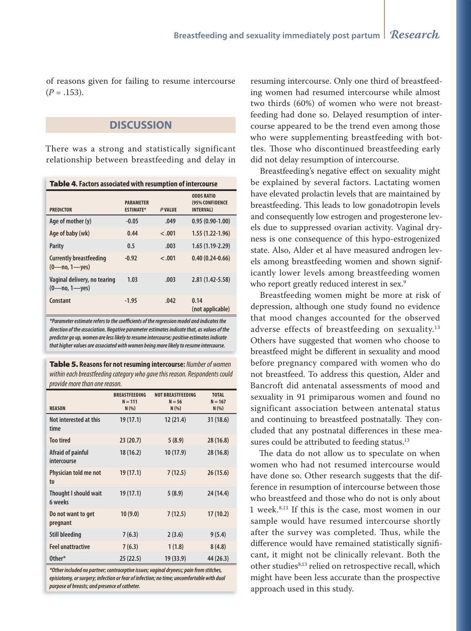of reasons given for failing to resume intercourse  $(P=.153).$ 

# **DISCUSSION**

There was a strong and statistically significant relationship between breastfeeding and delay in

| <b>Table 4.</b> Factors associated with resumption of intercourse   |                                      |               |                                                           |  |
|---------------------------------------------------------------------|--------------------------------------|---------------|-----------------------------------------------------------|--|
| <b>PREDICTOR</b>                                                    | <b>PARAMETER</b><br><b>ESTIMATE*</b> | <b>PVALUE</b> | <b>ODDS RATIO</b><br>(95% CONFIDENCE<br><b>INTERVAL</b> ) |  |
| Age of mother (y)                                                   | $-0.05$                              | .049          | $0.95(0.90-1.00)$                                         |  |
| Age of baby (wk)                                                    | 0.44                                 | $-.001$       | $1.55(1.22-1.96)$                                         |  |
| <b>Parity</b>                                                       | 0.5                                  | .003          | $1.65(1.19-2.29)$                                         |  |
| <b>Currently breastfeeding</b><br>$(0 \rightarrow 1 \rightarrow 1)$ | $-0.92$                              | $-.001$       | $0.40(0.24-0.66)$                                         |  |
| Vaginal delivery, no tearing<br>$(0 \rightarrow 1 \rightarrow 1)$   | 1.03                                 | .003          | $2.81(1.42 - 5.58)$                                       |  |
| Constant                                                            | $-1.95$                              | .042          | 0.14<br>(not applicable)                                  |  |

**\*Parameter estimate refers to the coeffi cients of the regression model and indicates the direction of the association. Negative parameter estimates indicate that, as values of the predictor go up, women are less likely to resume intercourse; positive estimates indicate that higher values are associated with women being more likely to resume intercourse.**

Table 5. **Reasons for not resuming intercourse:** Number of women within each breastfeeding category who gave this reason. Respondents could provide more than one reason.

| <b>REASON</b>                           | <b>BREASTFEEDING</b><br>$N = 111$<br>N(% ) | <b>NOT BREASTFEEDING</b><br>$N = 56$<br>N(% ) | <b>TOTAL</b><br>$N = 167$<br>N(% ) |
|-----------------------------------------|--------------------------------------------|-----------------------------------------------|------------------------------------|
| Not interested at this<br>time          | 19 (17.1)                                  | 12(21.4)                                      | 31(18.6)                           |
| <b>Too tired</b>                        | 23(20.7)                                   | 5(8.9)                                        | 28(16.8)                           |
| Afraid of painful<br>intercourse        | 18 (16.2)                                  | 10(17.9)                                      | 28(16.8)                           |
| Physician told me not<br>t <sub>0</sub> | 19(17.1)                                   | 7(12.5)                                       | 26(15.6)                           |
| Thought I should wait<br>6 weeks        | 19 (17.1)                                  | 5(8.9)                                        | 24 (14.4)                          |
| Do not want to get<br>pregnant          | 10(9.0)                                    | 7(12.5)                                       | 17(10.2)                           |
| <b>Still bleeding</b>                   | 7(6.3)                                     | 2(3.6)                                        | 9(5.4)                             |
| <b>Feel unattractive</b>                | 7(6.3)                                     | 1(1.8)                                        | 8(4.8)                             |
| Other*                                  | 25(22.5)                                   | 19 (33.9)                                     | 44 (26.3)                          |

**\*Other included no partner; contraceptive issues; vaginal dryness; pain from stitches, episiotomy, or surgery; infection or fear of infection; no time; uncomfortable with dual purpose of breasts; and presence of catheter.**

resuming intercourse. Only one third of breastfeeding women had resumed intercourse while almost two thirds (60%) of women who were not breastfeeding had done so. Delayed resumption of intercourse appeared to be the trend even among those who were supplementing breastfeeding with bottles. Those who discontinued breastfeeding early did not delay resumption of intercourse.

Breastfeeding's negative effect on sexuality might be explained by several factors. Lactating women have elevated prolactin levels that are maintained by breastfeeding. This leads to low gonadotropin levels and consequently low estrogen and progesterone levels due to suppressed ovarian activity. Vaginal dryness is one consequence of this hypo-estrogenized state. Also, Alder et al have measured androgen levels among breastfeeding women and shown significantly lower levels among breastfeeding women who report greatly reduced interest in sex.<sup>9</sup>

Breastfeeding women might be more at risk of depression, although one study found no evidence that mood changes accounted for the observed adverse effects of breastfeeding on sexuality.<sup>13</sup> Others have suggested that women who choose to breastfeed might be different in sexuality and mood before pregnancy compared with women who do not breastfeed. To address this question, Alder and Bancroft did antenatal assessments of mood and sexuality in 91 primiparous women and found no significant association between antenatal status and continuing to breastfeed postnatally. They concluded that any postnatal differences in these measures could be attributed to feeding status.<sup>13</sup>

The data do not allow us to speculate on when women who had not resumed intercourse would have done so. Other research suggests that the difference in resumption of intercourse between those who breastfeed and those who do not is only about 1 week.8,13 If this is the case, most women in our sample would have resumed intercourse shortly after the survey was completed. Thus, while the difference would have remained statistically significant, it might not be clinically relevant. Both the other studies<sup>8,13</sup> relied on retrospective recall, which might have been less accurate than the prospective approach used in this study.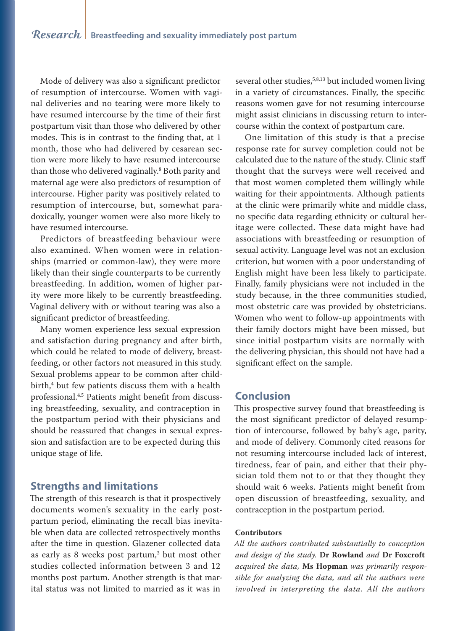Mode of delivery was also a significant predictor of resumption of intercourse. Women with vaginal deliveries and no tearing were more likely to have resumed intercourse by the time of their first postpartum visit than those who delivered by other modes. This is in contrast to the finding that, at 1 month, those who had delivered by cesarean section were more likely to have resumed intercourse than those who delivered vaginally.8 Both parity and maternal age were also predictors of resumption of intercourse. Higher parity was positively related to resumption of intercourse, but, somewhat paradoxically, younger women were also more likely to have resumed intercourse.

Predictors of breastfeeding behaviour were also examined. When women were in relationships (married or common-law), they were more likely than their single counterparts to be currently breastfeeding. In addition, women of higher parity were more likely to be currently breastfeeding. Vaginal delivery with or without tearing was also a significant predictor of breastfeeding.

Many women experience less sexual expression and satisfaction during pregnancy and after birth, which could be related to mode of delivery, breastfeeding, or other factors not measured in this study. Sexual problems appear to be common after childbirth,4 but few patients discuss them with a health professional.4,5 Patients might benefit from discussing breastfeeding, sexuality, and contraception in the postpartum period with their physicians and should be reassured that changes in sexual expression and satisfaction are to be expected during this unique stage of life.

# **Strengths and limitations**

The strength of this research is that it prospectively documents women's sexuality in the early postpartum period, eliminating the recall bias inevitable when data are collected retrospectively months after the time in question. Glazener collected data as early as 8 weeks post partum,<sup>3</sup> but most other studies collected information between 3 and 12 months post partum. Another strength is that marital status was not limited to married as it was in

several other studies,<sup>5,8,13</sup> but included women living in a variety of circumstances. Finally, the specific reasons women gave for not resuming intercourse might assist clinicians in discussing return to intercourse within the context of postpartum care.

One limitation of this study is that a precise response rate for survey completion could not be calculated due to the nature of the study. Clinic staff thought that the surveys were well received and that most women completed them willingly while waiting for their appointments. Although patients at the clinic were primarily white and middle class, no specific data regarding ethnicity or cultural heritage were collected. These data might have had associations with breastfeeding or resumption of sexual activity. Language level was not an exclusion criterion, but women with a poor understanding of English might have been less likely to participate. Finally, family physicians were not included in the study because, in the three communities studied, most obstetric care was provided by obstetricians. Women who went to follow-up appointments with their family doctors might have been missed, but since initial postpartum visits are normally with the delivering physician, this should not have had a significant effect on the sample.

# **Conclusion**

This prospective survey found that breastfeeding is the most significant predictor of delayed resumption of intercourse, followed by baby's age, parity, and mode of delivery. Commonly cited reasons for not resuming intercourse included lack of interest, tiredness, fear of pain, and either that their physician told them not to or that they thought they should wait 6 weeks. Patients might benefit from open discussion of breastfeeding, sexuality, and contraception in the postpartum period.

#### **Contributors**

*All the authors contributed substantially to conception and design of the study.* **Dr Rowland** *and* **Dr Foxcroft** *acquired the data,* **Ms Hopman** *was primarily responsible for analyzing the data, and all the authors were involved in interpreting the data. All the authors*